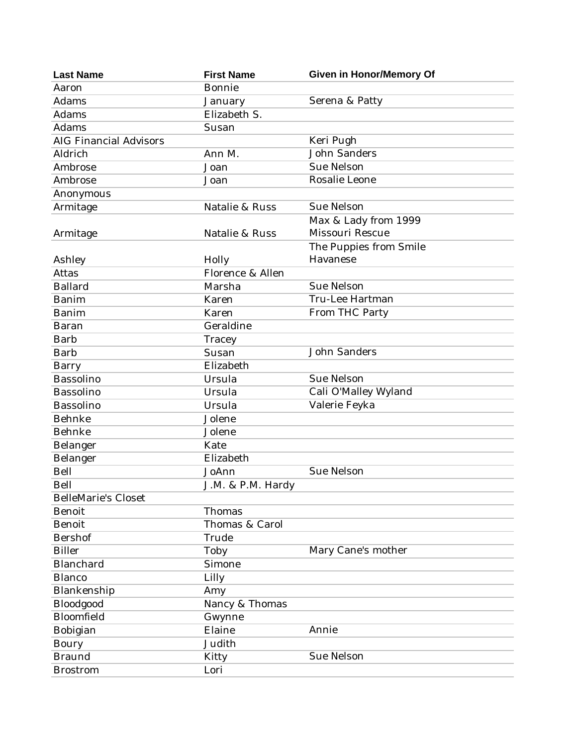| <b>Last Name</b>              | <b>First Name</b> | <b>Given in Honor/Memory Of</b> |
|-------------------------------|-------------------|---------------------------------|
| Aaron                         | Bonnie            |                                 |
| Adams                         | January           | Serena & Patty                  |
| Adams                         | Elizabeth S.      |                                 |
| Adams                         | Susan             |                                 |
| <b>AIG Financial Advisors</b> |                   | Keri Pugh                       |
| Aldrich                       | Ann M.            | <b>John Sanders</b>             |
| Ambrose                       | Joan              | <b>Sue Nelson</b>               |
| Ambrose                       | Joan              | Rosalie Leone                   |
| Anonymous                     |                   |                                 |
| Armitage                      | Natalie & Russ    | <b>Sue Nelson</b>               |
|                               |                   | Max & Lady from 1999            |
| Armitage                      | Natalie & Russ    | <b>Missouri Rescue</b>          |
|                               |                   | The Puppies from Smile          |
| Ashley                        | Holly             | Havanese                        |
| Attas                         | Florence & Allen  |                                 |
| <b>Ballard</b>                | Marsha            | <b>Sue Nelson</b>               |
| <b>Banim</b>                  | Karen             | Tru-Lee Hartman                 |
| <b>Banim</b>                  | Karen             | From THC Party                  |
| Baran                         | Geraldine         |                                 |
| <b>Barb</b>                   | Tracey            |                                 |
| <b>Barb</b>                   | Susan             | <b>John Sanders</b>             |
| Barry                         | Elizabeth         |                                 |
| Bassolino                     | Ursula            | <b>Sue Nelson</b>               |
| Bassolino                     | Ursula            | Cali O'Malley Wyland            |
| Bassolino                     | Ursula            | Valerie Feyka                   |
| Behnke                        | Jolene            |                                 |
| Behnke                        | Jolene            |                                 |
| Belanger                      | Kate              |                                 |
| Belanger                      | Elizabeth         |                                 |
| Bell                          | JoAnn             | Sue Nelson                      |
| Bell                          | J.M. & P.M. Hardy |                                 |
| <b>BelleMarie's Closet</b>    |                   |                                 |
| Benoit                        | Thomas            |                                 |
| <b>Benoit</b>                 | Thomas & Carol    |                                 |
| <b>Bershof</b>                | Trude             |                                 |
| <b>Biller</b>                 | Toby              | Mary Cane's mother              |
| Blanchard                     | Simone            |                                 |
| <b>Blanco</b>                 | Lilly             |                                 |
| Blankenship                   | Amy               |                                 |
| Bloodgood                     | Nancy & Thomas    |                                 |
| Bloomfield                    | Gwynne            |                                 |
| Bobigian                      | Elaine            | Annie                           |
| <b>Boury</b>                  | Judith            |                                 |
| <b>Braund</b>                 | Kitty             | Sue Nelson                      |
| <b>Brostrom</b>               | Lori              |                                 |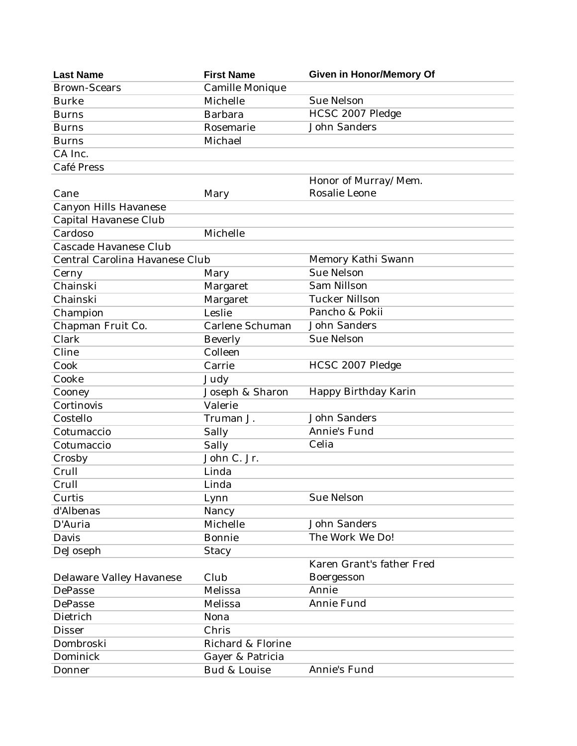| <b>Last Name</b>               | <b>First Name</b> | <b>Given in Honor/Memory Of</b> |
|--------------------------------|-------------------|---------------------------------|
| <b>Brown-Scears</b>            | Camille Monique   |                                 |
| <b>Burke</b>                   | Michelle          | <b>Sue Nelson</b>               |
| <b>Burns</b>                   | <b>Barbara</b>    | HCSC 2007 Pledge                |
| <b>Burns</b>                   | Rosemarie         | <b>John Sanders</b>             |
| <b>Burns</b>                   | Michael           |                                 |
| CA Inc.                        |                   |                                 |
| Café Press                     |                   |                                 |
|                                |                   | Honor of Murray/Mem.            |
| Cane                           | Mary              | Rosalie Leone                   |
| Canyon Hills Havanese          |                   |                                 |
| Capital Havanese Club          |                   |                                 |
| Cardoso                        | Michelle          |                                 |
| Cascade Havanese Club          |                   |                                 |
| Central Carolina Havanese Club |                   | Memory Kathi Swann              |
| Cerny                          | Mary              | <b>Sue Nelson</b>               |
| Chainski                       | Margaret          | <b>Sam Nillson</b>              |
| Chainski                       | Margaret          | <b>Tucker Nillson</b>           |
| Champion                       | Leslie            | Pancho & Pokii                  |
| Chapman Fruit Co.              | Carlene Schuman   | <b>John Sanders</b>             |
| Clark                          | <b>Beverly</b>    | Sue Nelson                      |
| Cline                          | Colleen           |                                 |
| Cook                           | Carrie            | HCSC 2007 Pledge                |
| Cooke                          | Judy              |                                 |
| Cooney                         | Joseph & Sharon   | Happy Birthday Karin            |
| Cortinovis                     | Valerie           |                                 |
| Costello                       | Truman J.         | <b>John Sanders</b>             |
| Cotumaccio                     | Sally             | Annie's Fund                    |
| Cotumaccio                     | Sally             | Celia                           |
| Crosby                         | John C. Jr.       |                                 |
| Crull                          | Linda             |                                 |
| Crull                          | Linda             |                                 |
| Curtis                         | Lynn              | <b>Sue Nelson</b>               |
| d'Albenas                      | Nancy             |                                 |
| D'Auria                        | Michelle          | <b>John Sanders</b>             |
| Davis                          | <b>Bonnie</b>     | The Work We Do!                 |
| DeJoseph                       | <b>Stacy</b>      |                                 |
|                                |                   | Karen Grant's father Fred       |
| Delaware Valley Havanese       | Club              | Boergesson                      |
| DePasse                        | Melissa           | Annie                           |
| DePasse                        | Melissa           | Annie Fund                      |
|                                |                   |                                 |
| Dietrich                       | Nona              |                                 |
| <b>Disser</b>                  | Chris             |                                 |
| Dombroski                      | Richard & Florine |                                 |
| Dominick                       | Gayer & Patricia  |                                 |
| Donner                         | Bud & Louise      | Annie's Fund                    |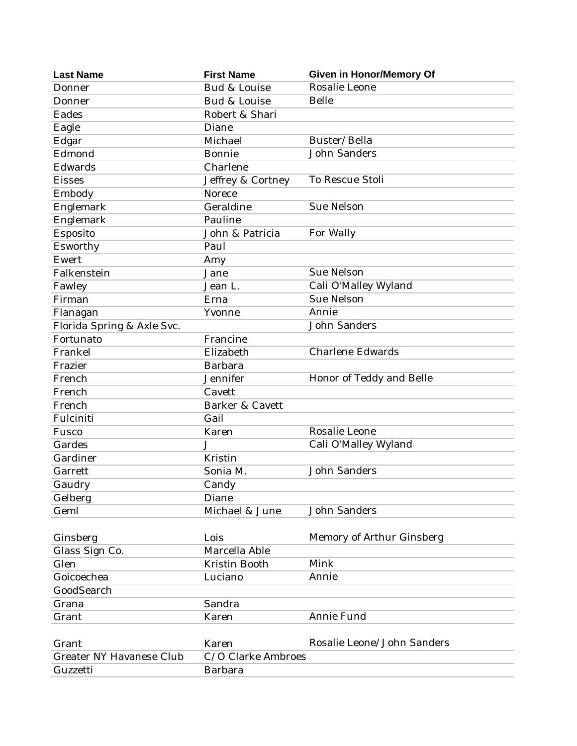| <b>Last Name</b>                | <b>First Name</b>  | <b>Given in Honor/Memory Of</b> |
|---------------------------------|--------------------|---------------------------------|
| Donner                          | Bud & Louise       | Rosalie Leone                   |
| Donner                          | Bud & Louise       | <b>Belle</b>                    |
| Eades                           | Robert & Shari     |                                 |
| Eagle                           | Diane              |                                 |
| Edgar                           | Michael            | Buster/Bella                    |
| Edmond                          | <b>Bonnie</b>      | <b>John Sanders</b>             |
| Edwards                         | Charlene           |                                 |
| <b>Eisses</b>                   | Jeffrey & Cortney  | To Rescue Stoli                 |
| Embody                          | Norece             |                                 |
| Englemark                       | Geraldine          | <b>Sue Nelson</b>               |
| Englemark                       | Pauline            |                                 |
| Esposito                        | John & Patricia    | For Wally                       |
| Esworthy                        | Paul               |                                 |
| Ewert                           | Amy                |                                 |
| Falkenstein                     | Jane               | <b>Sue Nelson</b>               |
| Fawley                          | Jean L.            | Cali O'Malley Wyland            |
| Firman                          | Erna               | <b>Sue Nelson</b>               |
| Flanagan                        | Yvonne             | Annie                           |
| Florida Spring & Axle Svc.      |                    | <b>John Sanders</b>             |
| Fortunato                       | Francine           |                                 |
| Frankel                         | Elizabeth          | <b>Charlene Edwards</b>         |
| Frazier                         | <b>Barbara</b>     |                                 |
| French                          | Jennifer           | Honor of Teddy and Belle        |
| French                          | Cavett             |                                 |
| French                          | Barker & Cavett    |                                 |
| Fulciniti                       | Gail               |                                 |
| Fusco                           | Karen              | Rosalie Leone                   |
| Gardes                          | J                  | Cali O'Malley Wyland            |
| Gardiner                        | Kristin            |                                 |
| Garrett                         | Sonia M.           | <b>John Sanders</b>             |
| Gaudry                          | Candy              |                                 |
| Gelberg                         | Diane              |                                 |
| Geml                            | Michael & June     | <b>John Sanders</b>             |
|                                 |                    |                                 |
| Ginsberg                        | Lois               | Memory of Arthur Ginsberg       |
| Glass Sign Co.                  | Marcella Able      |                                 |
| Glen                            | Kristin Booth      | Mink                            |
| Goicoechea                      | Luciano            | Annie                           |
| GoodSearch                      |                    |                                 |
| Grana                           | Sandra             |                                 |
| Grant                           | Karen              | Annie Fund                      |
|                                 |                    |                                 |
| Grant                           | Karen              | Rosalie Leone/John Sanders      |
| <b>Greater NY Havanese Club</b> | C/O Clarke Ambroes |                                 |
| Guzzetti                        | Barbara            |                                 |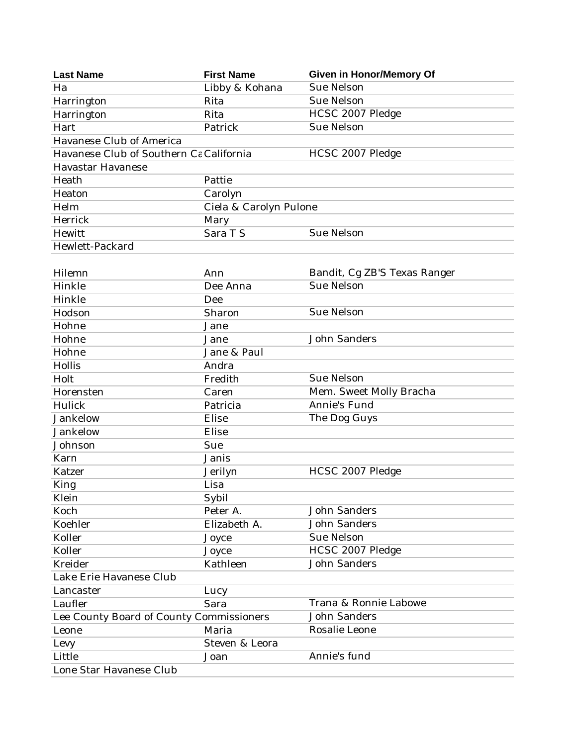| <b>Last Name</b>                         | <b>First Name</b>      | <b>Given in Honor/Memory Of</b> |
|------------------------------------------|------------------------|---------------------------------|
| Ha                                       | Libby & Kohana         | <b>Sue Nelson</b>               |
| Harrington                               | Rita                   | <b>Sue Nelson</b>               |
| Harrington                               | Rita                   | HCSC 2007 Pledge                |
| Hart                                     | Patrick                | <b>Sue Nelson</b>               |
| Havanese Club of America                 |                        |                                 |
| Havanese Club of Southern Ca California  |                        | HCSC 2007 Pledge                |
| <b>Havastar Havanese</b>                 |                        |                                 |
| Heath                                    | Pattie                 |                                 |
| Heaton                                   | Carolyn                |                                 |
| Helm                                     | Ciela & Carolyn Pulone |                                 |
| Herrick                                  | Mary                   |                                 |
| Hewitt                                   | Sara T S               | <b>Sue Nelson</b>               |
| Hewlett-Packard                          |                        |                                 |
|                                          |                        |                                 |
| Hilemn                                   | Ann                    | Bandit, Cg ZB'S Texas Ranger    |
| Hinkle                                   | Dee Anna               | <b>Sue Nelson</b>               |
| Hinkle                                   | Dee                    |                                 |
| Hodson                                   | Sharon                 | Sue Nelson                      |
| Hohne                                    | Jane                   |                                 |
| Hohne                                    | Jane                   | <b>John Sanders</b>             |
| Hohne                                    | Jane & Paul            |                                 |
| Hollis                                   | Andra                  |                                 |
| Holt                                     | Fredith                | <b>Sue Nelson</b>               |
| Horensten                                | Caren                  | Mem. Sweet Molly Bracha         |
| Hulick                                   | Patricia               | Annie's Fund                    |
| Jankelow                                 | Elise                  | The Dog Guys                    |
| Jankelow                                 | Elise                  |                                 |
| Johnson                                  | Sue                    |                                 |
| Karn                                     | Janis                  |                                 |
| Katzer                                   | Jerilyn                | HCSC 2007 Pledge                |
| <b>King</b>                              | Lisa                   |                                 |
| Klein                                    | Sybil                  |                                 |
| Koch                                     | Peter A.               | <b>John Sanders</b>             |
| Koehler                                  | Elizabeth A.           | <b>John Sanders</b>             |
| Koller                                   | Joyce                  | Sue Nelson                      |
| Koller                                   | Joyce                  | HCSC 2007 Pledge                |
| Kreider                                  | Kathleen               | <b>John Sanders</b>             |
| Lake Erie Havanese Club                  |                        |                                 |
| Lancaster                                | Lucy                   |                                 |
| Laufler                                  | Sara                   | Trana & Ronnie Labowe           |
| Lee County Board of County Commissioners |                        | <b>John Sanders</b>             |
| Leone                                    | Maria                  | Rosalie Leone                   |
| Levy                                     | Steven & Leora         |                                 |
| Little                                   | Joan                   | Annie's fund                    |
| Lone Star Havanese Club                  |                        |                                 |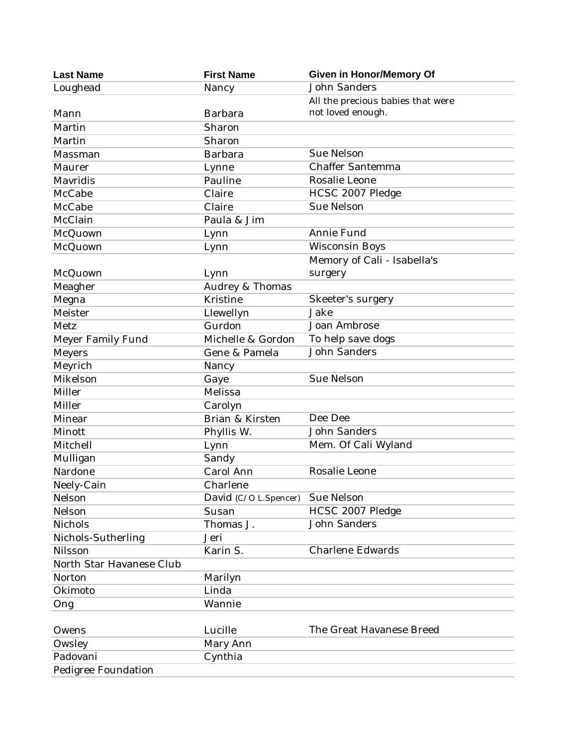| <b>John Sanders</b><br>Loughead<br>Nancy<br>All the precious babies that were<br>not loved enough.<br><b>Barbara</b><br>Mann<br>Martin<br>Sharon<br>Sharon<br>Martin<br>Sue Nelson<br>Barbara<br>Massman<br><b>Chaffer Santemma</b><br>Maurer<br>Lynne<br>Rosalie Leone<br>Pauline<br>Mavridis<br>HCSC 2007 Pledge<br>Claire<br>McCabe<br><b>Sue Nelson</b><br>McCabe<br>Claire<br>McClain<br>Paula & Jim<br>Annie Fund<br>McQuown<br>Lynn<br><b>Wisconsin Boys</b><br>McQuown<br>Lynn<br>Memory of Cali - Isabella's<br>McQuown<br>surgery<br>Lynn<br>Meagher<br>Audrey & Thomas<br>Kristine<br>Skeeter's surgery<br>Megna<br>Jake<br>Meister<br>Llewellyn<br>Joan Ambrose<br>Metz<br>Gurdon<br>To help save dogs<br>Michelle & Gordon<br>Meyer Family Fund<br><b>John Sanders</b><br><b>Meyers</b><br>Gene & Pamela<br>Meyrich<br>Nancy<br>Mikelson<br><b>Sue Nelson</b><br>Gaye<br>Miller<br>Melissa<br>Miller<br>Carolyn<br>Dee Dee<br>Brian & Kirsten<br>Minear<br>John Sanders<br>Minott<br>Phyllis W.<br>Mitchell<br>Mem. Of Cali Wyland<br>Lynn<br>Mulligan<br>Sandy<br>Rosalie Leone<br>Nardone<br>Carol Ann |
|-----------------------------------------------------------------------------------------------------------------------------------------------------------------------------------------------------------------------------------------------------------------------------------------------------------------------------------------------------------------------------------------------------------------------------------------------------------------------------------------------------------------------------------------------------------------------------------------------------------------------------------------------------------------------------------------------------------------------------------------------------------------------------------------------------------------------------------------------------------------------------------------------------------------------------------------------------------------------------------------------------------------------------------------------------------------------------------------------------------------------|
|                                                                                                                                                                                                                                                                                                                                                                                                                                                                                                                                                                                                                                                                                                                                                                                                                                                                                                                                                                                                                                                                                                                       |
|                                                                                                                                                                                                                                                                                                                                                                                                                                                                                                                                                                                                                                                                                                                                                                                                                                                                                                                                                                                                                                                                                                                       |
|                                                                                                                                                                                                                                                                                                                                                                                                                                                                                                                                                                                                                                                                                                                                                                                                                                                                                                                                                                                                                                                                                                                       |
|                                                                                                                                                                                                                                                                                                                                                                                                                                                                                                                                                                                                                                                                                                                                                                                                                                                                                                                                                                                                                                                                                                                       |
|                                                                                                                                                                                                                                                                                                                                                                                                                                                                                                                                                                                                                                                                                                                                                                                                                                                                                                                                                                                                                                                                                                                       |
|                                                                                                                                                                                                                                                                                                                                                                                                                                                                                                                                                                                                                                                                                                                                                                                                                                                                                                                                                                                                                                                                                                                       |
|                                                                                                                                                                                                                                                                                                                                                                                                                                                                                                                                                                                                                                                                                                                                                                                                                                                                                                                                                                                                                                                                                                                       |
|                                                                                                                                                                                                                                                                                                                                                                                                                                                                                                                                                                                                                                                                                                                                                                                                                                                                                                                                                                                                                                                                                                                       |
|                                                                                                                                                                                                                                                                                                                                                                                                                                                                                                                                                                                                                                                                                                                                                                                                                                                                                                                                                                                                                                                                                                                       |
|                                                                                                                                                                                                                                                                                                                                                                                                                                                                                                                                                                                                                                                                                                                                                                                                                                                                                                                                                                                                                                                                                                                       |
|                                                                                                                                                                                                                                                                                                                                                                                                                                                                                                                                                                                                                                                                                                                                                                                                                                                                                                                                                                                                                                                                                                                       |
|                                                                                                                                                                                                                                                                                                                                                                                                                                                                                                                                                                                                                                                                                                                                                                                                                                                                                                                                                                                                                                                                                                                       |
|                                                                                                                                                                                                                                                                                                                                                                                                                                                                                                                                                                                                                                                                                                                                                                                                                                                                                                                                                                                                                                                                                                                       |
|                                                                                                                                                                                                                                                                                                                                                                                                                                                                                                                                                                                                                                                                                                                                                                                                                                                                                                                                                                                                                                                                                                                       |
|                                                                                                                                                                                                                                                                                                                                                                                                                                                                                                                                                                                                                                                                                                                                                                                                                                                                                                                                                                                                                                                                                                                       |
|                                                                                                                                                                                                                                                                                                                                                                                                                                                                                                                                                                                                                                                                                                                                                                                                                                                                                                                                                                                                                                                                                                                       |
|                                                                                                                                                                                                                                                                                                                                                                                                                                                                                                                                                                                                                                                                                                                                                                                                                                                                                                                                                                                                                                                                                                                       |
|                                                                                                                                                                                                                                                                                                                                                                                                                                                                                                                                                                                                                                                                                                                                                                                                                                                                                                                                                                                                                                                                                                                       |
|                                                                                                                                                                                                                                                                                                                                                                                                                                                                                                                                                                                                                                                                                                                                                                                                                                                                                                                                                                                                                                                                                                                       |
|                                                                                                                                                                                                                                                                                                                                                                                                                                                                                                                                                                                                                                                                                                                                                                                                                                                                                                                                                                                                                                                                                                                       |
|                                                                                                                                                                                                                                                                                                                                                                                                                                                                                                                                                                                                                                                                                                                                                                                                                                                                                                                                                                                                                                                                                                                       |
|                                                                                                                                                                                                                                                                                                                                                                                                                                                                                                                                                                                                                                                                                                                                                                                                                                                                                                                                                                                                                                                                                                                       |
|                                                                                                                                                                                                                                                                                                                                                                                                                                                                                                                                                                                                                                                                                                                                                                                                                                                                                                                                                                                                                                                                                                                       |
|                                                                                                                                                                                                                                                                                                                                                                                                                                                                                                                                                                                                                                                                                                                                                                                                                                                                                                                                                                                                                                                                                                                       |
|                                                                                                                                                                                                                                                                                                                                                                                                                                                                                                                                                                                                                                                                                                                                                                                                                                                                                                                                                                                                                                                                                                                       |
|                                                                                                                                                                                                                                                                                                                                                                                                                                                                                                                                                                                                                                                                                                                                                                                                                                                                                                                                                                                                                                                                                                                       |
|                                                                                                                                                                                                                                                                                                                                                                                                                                                                                                                                                                                                                                                                                                                                                                                                                                                                                                                                                                                                                                                                                                                       |
|                                                                                                                                                                                                                                                                                                                                                                                                                                                                                                                                                                                                                                                                                                                                                                                                                                                                                                                                                                                                                                                                                                                       |
|                                                                                                                                                                                                                                                                                                                                                                                                                                                                                                                                                                                                                                                                                                                                                                                                                                                                                                                                                                                                                                                                                                                       |
|                                                                                                                                                                                                                                                                                                                                                                                                                                                                                                                                                                                                                                                                                                                                                                                                                                                                                                                                                                                                                                                                                                                       |
| Neely-Cain<br>Charlene                                                                                                                                                                                                                                                                                                                                                                                                                                                                                                                                                                                                                                                                                                                                                                                                                                                                                                                                                                                                                                                                                                |
| Sue Nelson<br>Nelson<br>David (C/O L.Spencer)                                                                                                                                                                                                                                                                                                                                                                                                                                                                                                                                                                                                                                                                                                                                                                                                                                                                                                                                                                                                                                                                         |
| HCSC 2007 Pledge<br>Nelson<br>Susan                                                                                                                                                                                                                                                                                                                                                                                                                                                                                                                                                                                                                                                                                                                                                                                                                                                                                                                                                                                                                                                                                   |
| John Sanders<br>Thomas J.<br>Nichols                                                                                                                                                                                                                                                                                                                                                                                                                                                                                                                                                                                                                                                                                                                                                                                                                                                                                                                                                                                                                                                                                  |
| Nichols-Sutherling<br>Jeri                                                                                                                                                                                                                                                                                                                                                                                                                                                                                                                                                                                                                                                                                                                                                                                                                                                                                                                                                                                                                                                                                            |
| <b>Charlene Edwards</b><br>Nilsson<br>Karin S.                                                                                                                                                                                                                                                                                                                                                                                                                                                                                                                                                                                                                                                                                                                                                                                                                                                                                                                                                                                                                                                                        |
| North Star Havanese Club                                                                                                                                                                                                                                                                                                                                                                                                                                                                                                                                                                                                                                                                                                                                                                                                                                                                                                                                                                                                                                                                                              |
| Norton<br>Marilyn                                                                                                                                                                                                                                                                                                                                                                                                                                                                                                                                                                                                                                                                                                                                                                                                                                                                                                                                                                                                                                                                                                     |
| Linda<br>Okimoto                                                                                                                                                                                                                                                                                                                                                                                                                                                                                                                                                                                                                                                                                                                                                                                                                                                                                                                                                                                                                                                                                                      |
| Wannie<br>Ong                                                                                                                                                                                                                                                                                                                                                                                                                                                                                                                                                                                                                                                                                                                                                                                                                                                                                                                                                                                                                                                                                                         |
|                                                                                                                                                                                                                                                                                                                                                                                                                                                                                                                                                                                                                                                                                                                                                                                                                                                                                                                                                                                                                                                                                                                       |
| The Great Havanese Breed<br>Lucille<br>Owens                                                                                                                                                                                                                                                                                                                                                                                                                                                                                                                                                                                                                                                                                                                                                                                                                                                                                                                                                                                                                                                                          |
| Mary Ann<br>Owsley                                                                                                                                                                                                                                                                                                                                                                                                                                                                                                                                                                                                                                                                                                                                                                                                                                                                                                                                                                                                                                                                                                    |
| Padovani<br>Cynthia                                                                                                                                                                                                                                                                                                                                                                                                                                                                                                                                                                                                                                                                                                                                                                                                                                                                                                                                                                                                                                                                                                   |
| Pedigree Foundation                                                                                                                                                                                                                                                                                                                                                                                                                                                                                                                                                                                                                                                                                                                                                                                                                                                                                                                                                                                                                                                                                                   |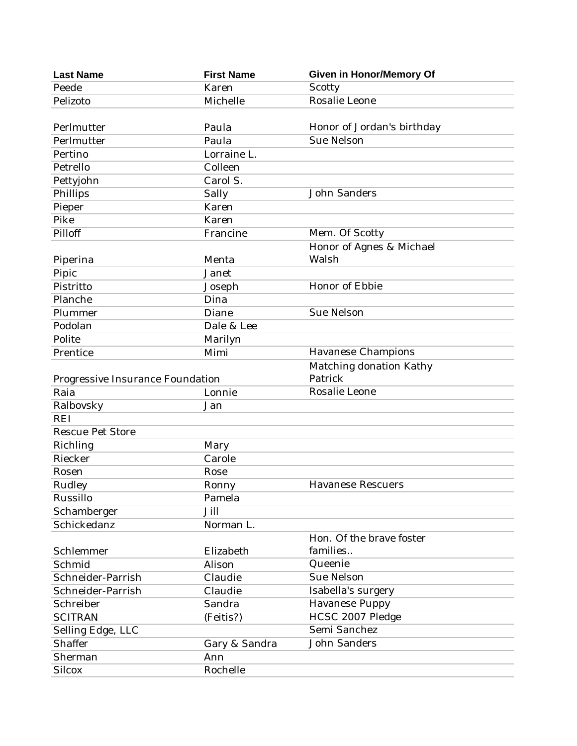| <b>Last Name</b>                 | <b>First Name</b> | <b>Given in Honor/Memory Of</b> |
|----------------------------------|-------------------|---------------------------------|
| Peede                            | Karen             | Scotty                          |
| Pelizoto                         | Michelle          | Rosalie Leone                   |
|                                  |                   |                                 |
| Perlmutter                       | Paula             | Honor of Jordan's birthday      |
| Perlmutter                       | Paula             | <b>Sue Nelson</b>               |
| Pertino                          | Lorraine L.       |                                 |
| Petrello                         | Colleen           |                                 |
| Pettyjohn                        | Carol S.          |                                 |
| Phillips                         | Sally             | <b>John Sanders</b>             |
| Pieper                           | Karen             |                                 |
| Pike                             | Karen             |                                 |
| Pilloff                          | Francine          | Mem. Of Scotty                  |
|                                  |                   | Honor of Agnes & Michael        |
| Piperina                         | Menta             | Walsh                           |
| Pipic                            | Janet             |                                 |
| Pistritto                        | Joseph            | Honor of Ebbie                  |
| Planche                          | Dina              |                                 |
| Plummer                          | Diane             | <b>Sue Nelson</b>               |
| Podolan                          | Dale & Lee        |                                 |
| Polite                           | Marilyn           |                                 |
| Prentice                         | Mimi              | Havanese Champions              |
|                                  |                   | Matching donation Kathy         |
| Progressive Insurance Foundation |                   | Patrick                         |
| Raia                             | Lonnie            | Rosalie Leone                   |
| Ralbovsky                        | Jan               |                                 |
| <b>REI</b>                       |                   |                                 |
| <b>Rescue Pet Store</b>          |                   |                                 |
| Richling                         | Mary              |                                 |
| Riecker                          | Carole            |                                 |
| Rosen                            | Rose              |                                 |
| Rudley                           | Ronny             | <b>Havanese Rescuers</b>        |
| Russillo                         | Pamela            |                                 |
| Schamberger                      | Jill              |                                 |
| Schickedanz                      | Norman L.         |                                 |
|                                  |                   | Hon. Of the brave foster        |
| Schlemmer                        | Elizabeth         | families                        |
| Schmid                           | Alison            | Queenie                         |
| Schneider-Parrish                | Claudie           | Sue Nelson                      |
| Schneider-Parrish                | Claudie           | Isabella's surgery              |
| Schreiber                        | Sandra            | <b>Havanese Puppy</b>           |
| <b>SCITRAN</b>                   | (Feitis?)         | HCSC 2007 Pledge                |
| Selling Edge, LLC                |                   | Semi Sanchez                    |
| Shaffer                          | Gary & Sandra     | <b>John Sanders</b>             |
| Sherman                          | Ann               |                                 |
| <b>Silcox</b>                    | Rochelle          |                                 |